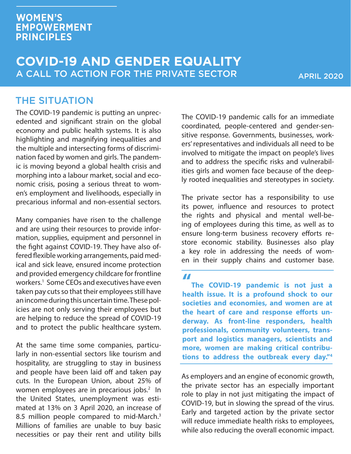#### **WOMEN'S EMPOWERMENT PRINCIPLES**

#### **COVID-19 AND GENDER EQUALITY** A CALL TO ACTION FOR THE PRIVATE SECTOR

APRIL 2020

#### THE SITUATION

The COVID-19 pandemic is putting an unprecedented and significant strain on the global economy and public health systems. It is also highlighting and magnifying inequalities and the multiple and intersecting forms of discrimination faced by women and girls. The pandemic is moving beyond a global health crisis and morphing into a labour market, social and economic crisis, posing a serious threat to women's employment and livelihoods, especially in precarious informal and non-essential sectors.

Many companies have risen to the challenge and are using their resources to provide information, supplies, equipment and personnel in the fight against COVID-19. They have also offered flexible working arrangements, paid medical and sick leave, ensured income protection and provided emergency childcare for frontline workers.1 Some CEOs and executives have even taken pay cuts so that their employees still have an income during this uncertain time. These policies are not only serving their employees but are helping to reduce the spread of COVID-19 and to protect the public healthcare system.

At the same time some companies, particularly in non-essential sectors like tourism and hospitality, are struggling to stay in business and people have been laid off and taken pay cuts. In the European Union, about 25% of women employees are in precarious jobs.<sup>2</sup> In the United States, unemployment was estimated at 13% on 3 April 2020, an increase of 8.5 million people compared to mid-March.<sup>3</sup> Millions of families are unable to buy basic necessities or pay their rent and utility bills The COVID-19 pandemic calls for an immediate coordinated, people-centered and gender-sensitive response. Governments, businesses, workers' representatives and individuals all need to be involved to mitigate the impact on people's lives and to address the specific risks and vulnerabilities girls and women face because of the deeply rooted inequalities and stereotypes in society.

The private sector has a responsibility to use its power, influence and resources to protect the rights and physical and mental well-being of employees during this time, as well as to ensure long-term business recovery efforts restore economic stability. Businesses also play a key role in addressing the needs of women in their supply chains and customer base.

**"**

**The COVID-19 pandemic is not just a health issue. It is a profound shock to our societies and economies, and women are at the heart of care and response efforts underway. As front-line responders, health professionals, community volunteers, transport and logistics managers, scientists and more, women are making critical contributions to address the outbreak every day."4**

As employers and an engine of economic growth, the private sector has an especially important role to play in not just mitigating the impact of COVID-19, but in slowing the spread of the virus. Early and targeted action by the private sector will reduce immediate health risks to employees, while also reducing the overall economic impact.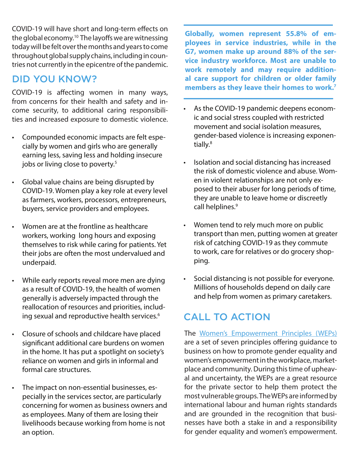COVID-19 will have short and long-term effects on the global economy.<sup>10</sup> The layoffs we are witnessing today will be felt over the months and years to come throughout global supply chains, including in countries not currently in the epicentre of the pandemic.

#### DID YOU KNOW?

COVID-19 is affecting women in many ways, from concerns for their health and safety and income security, to additional caring responsibilities and increased exposure to domestic violence.

- Compounded economic impacts are felt especially by women and girls who are generally earning less, saving less and holding insecure jobs or living close to poverty.<sup>5</sup>
- Global value chains are being disrupted by COVID-19. Women play a key role at every level as farmers, workers, processors, entrepreneurs, buyers, service providers and employees.
- Women are at the frontline as healthcare workers, working long hours and exposing themselves to risk while caring for patients. Yet their jobs are often the most undervalued and underpaid.
- While early reports reveal more men are dying as a result of COVID-19, the health of women generally is adversely impacted through the reallocation of resources and priorities, including sexual and reproductive health services.<sup>6</sup>
- Closure of schools and childcare have placed significant additional care burdens on women in the home. It has put a spotlight on society's reliance on women and girls in informal and formal care structures.
- The impact on non-essential businesses, especially in the services sector, are particularly concerning for women as business owners and as employees. Many of them are losing their livelihoods because working from home is not an option.

**Globally, women represent 55.8% of employees in service industries, while in the G7, women make up around 88% of the service industry workforce. Most are unable to work remotely and may require additional care support for children or older family members as they leave their homes to work.7**

- As the COVID-19 pandemic deepens economic and social stress coupled with restricted movement and social isolation measures, gender-based violence is increasing exponentially.<sup>8</sup>
- Isolation and social distancing has increased the risk of domestic violence and abuse. Women in violent relationships are not only exposed to their abuser for long periods of time, they are unable to leave home or discreetly call helplines.<sup>9</sup>
- Women tend to rely much more on public transport than men, putting women at greater risk of catching COVID-19 as they commute to work, care for relatives or do grocery shopping.
- Social distancing is not possible for everyone. Millions of households depend on daily care and help from women as primary caretakers.

# CALL TO ACTION

The Women's Empowerment Principles (WEPs) are a set of seven principles offering guidance to business on how to promote gender equality and women's empowerment in the workplace, marketplace and community. During this time of upheaval and uncertainty, the WEPs are a great resource for the private sector to help them protect the most vulnerable groups. The WEPs are informed by international labour and human rights standards and are grounded in the recognition that businesses have both a stake in and a responsibility for gender equality and women's empowerment.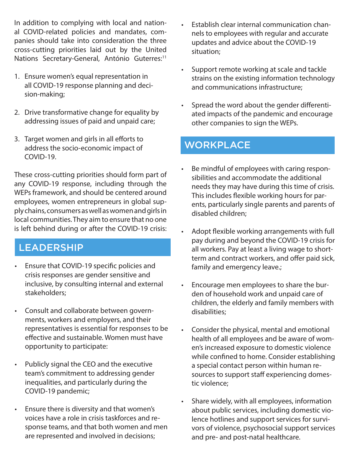In addition to complying with local and national COVID-related policies and mandates, companies should take into consideration the three cross-cutting priorities laid out by the United Nations Secretary-General, António Guterres:<sup>11</sup>

- 1. Ensure women's equal representation in all COVID-19 response planning and decision-making;
- 2. Drive transformative change for equality by addressing issues of paid and unpaid care;
- 3. Target women and girls in all efforts to address the socio-economic impact of COVID-19.

These cross-cutting priorities should form part of any COVID-19 response, including through the WEPs framework, and should be centered around employees, women entrepreneurs in global supply chains, consumers as well as women and girls in local communities. They aim to ensure that no one is left behind during or after the COVID-19 crisis:

#### LEADERSHIP

- Ensure that COVID-19 specific policies and crisis responses are gender sensitive and inclusive, by consulting internal and external stakeholders;
- Consult and collaborate between governments, workers and employers, and their representatives is essential for responses to be effective and sustainable. Women must have opportunity to participate:
- Publicly signal the CEO and the executive team's commitment to addressing gender inequalities, and particularly during the COVID-19 pandemic;
- Ensure there is diversity and that women's voices have a role in crisis taskforces and response teams, and that both women and men are represented and involved in decisions;
- Establish clear internal communication channels to employees with regular and accurate updates and advice about the COVID-19 situation;
- Support remote working at scale and tackle strains on the existing information technology and communications infrastructure;
- Spread the word about the gender differentiated impacts of the pandemic and encourage other companies to sign the WEPs.

## **WORKPLACE**

- Be mindful of employees with caring responsibilities and accommodate the additional needs they may have during this time of crisis. This includes flexible working hours for parents, particularly single parents and parents of disabled children;
- Adopt flexible working arrangements with full pay during and beyond the COVID-19 crisis for all workers. Pay at least a living wage to shortterm and contract workers, and offer paid sick, family and emergency leave.;
- Encourage men employees to share the burden of household work and unpaid care of children, the elderly and family members with disabilities;
- Consider the physical, mental and emotional health of all employees and be aware of women's increased exposure to domestic violence while confined to home. Consider establishing a special contact person within human resources to support staff experiencing domestic violence;
- Share widely, with all employees, information about public services, including domestic violence hotlines and support services for survivors of violence, psychosocial support services and pre- and post-natal healthcare.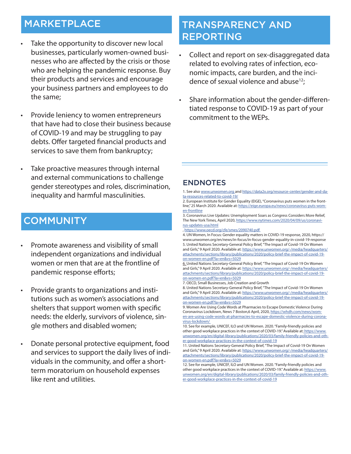## MARKETPLACE

- Take the opportunity to discover new local **REPORTING** businesses, particularly women-owned businesses who are affected by the crisis or those who are helping the pandemic response. Buy their products and services and encourage your business partners and employees to do the same;
- Provide leniency to women entrepreneurs that have had to close their business because of COVID-19 and may be struggling to pay debts. Offer targeted financial products and services to save them from bankruptcy;
- Take proactive measures through internal and external communications to challenge gender stereotypes and roles, discrimination, inequality and harmful masculinities.

### **COMMUNITY**

- Promote awareness and visibility of small independent organizations and individual women or men that are at the frontline of pandemic response efforts;
- Provide grants to organizations and institutions such as women's associations and shelters that support women with specific needs: the elderly, survivors of violence, single mothers and disabled women;
- Donate personal protective equipment, food and services to support the daily lives of individuals in the community, and offer a shortterm moratorium on household expenses like rent and utilities.

# TRANSPARENCY AND

- Collect and report on sex-disaggregated data related to evolving rates of infection, economic impacts, care burden, and the incidence of sexual violence and abuse<sup>12</sup>;
- Share information about the gender-differentiated response to COVID-19 as part of your commitment to the WEPs.

#### ENDNOTES

1. See also www.unwomen.org and https://data2x.org/resource-center/gender-and-data-resources-related-to-covid-19/

2. European Institute for Gender Equality (EIGE), "Coronavirus puts women in the frontline," 25 March 2020. Available at: https://eige.europa.eu/news/coronavirus-puts-women-frontline

3. Coronavirus Live Updates: Unemployment Soars as Congress Considers More Relief, The New York Times, April 2020, https://www.nytimes.com/2020/04/09/us/coronavirus-updates-usa.html

, https://www.oecd.org/cfe/smes/2090740.pdf

4. UN Women, In Focus: Gender equality matters in COVID-19 response, 2020, https:// www.unwomen.org/en/news/in-focus/in-focus-gender-equality-in-covid-19-response 5. United Nations Secretary-General Policy Brief, "The Impact of Covid-19 On Women and Girls," 9 April 2020. Available at: https://www.unwomen.org/-/media/headquarters/ attachments/sections/library/publications/2020/policy-brief-the-impact-of-covid-19 on-women-en.pdf?la=en&vs=5029

6. United Nations Secretary-General Policy Brief, "The Impact of Covid-19 On Women and Girls," 9 April 2020. Available at: https://www.unwomen.org/-/media/headquarters/ attachments/sections/library/publications/2020/policy-brief-the-impact-of-covid-19 on-women-en.pdf?la=en&vs=5029

8. United Nations Secretary-General Policy Brief, "The Impact of Covid-19 On Women and Girls," 9 April 2020. Available at: https://www.unwomen.org/-/media/headquarters/ attachments/sections/library/publications/2020/policy-brief-the-impact-of-covid-19 on-women-en.pdf?la=en&vs=5029

9. Women Are Using Code Words at Pharmacies to Escape Domestic Violence During Coronavirus Lockdown, News 7 Boston,6 April, 2020, https://whdh.com/news/women-are-using-code-words-at-pharmacies-to-escape-domestic-violence-during-coronavirus-lockdown/

<sup>7.</sup> OECD, Small Businesses, Job Creation and Growth

<sup>10.</sup> See for example, UNICEF, ILO and UN Women. 2020. "Family-friendly policies and other good workplace practices in the context of COVID-19." Available at: https://www. unwomen.org/en/digital-library/publications/2020/03/family-friendly-policies-and-other-good-workplace-practices-in-the-context-of-covid-19

<sup>11.</sup> United Nations Secretary-General Policy Brief, "The Impact of Covid-19 On Women and Girls," 9 April 2020. Available at: https://www.unwomen.org/-/media/headquarters/ attachments/sections/library/publications/2020/policy-brief-the-impact-of-covid-19 on-women-en.pdf?la=en&vs=5029

<sup>12.</sup> See for example, UNICEF, ILO and UN Women. 2020. "Family-friendly policies and other good workplace practices in the context of COVID-19." Available at: https://www. unwomen.org/en/digital-library/publications/2020/03/family-friendly-policies-and-other-good-workplace-practices-in-the-context-of-covid-19